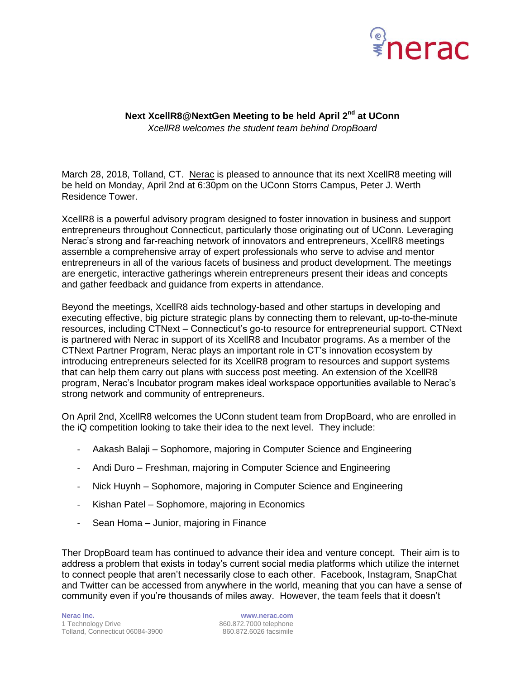

## **Next XcellR8@NextGen Meeting to be held April 2nd at UConn** *XcellR8 welcomes the student team behind DropBoard*

March 28, 2018, Tolland, CT. [Nerac](http://www.nerac.com/) is pleased to announce that its next XcellR8 meeting will be held on Monday, April 2nd at 6:30pm on the UConn Storrs Campus, Peter J. Werth Residence Tower.

XcellR8 is a powerful advisory program designed to foster innovation in business and support entrepreneurs throughout Connecticut, particularly those originating out of UConn. Leveraging Nerac's strong and far-reaching network of innovators and entrepreneurs, XcellR8 meetings assemble a comprehensive array of expert professionals who serve to advise and mentor entrepreneurs in all of the various facets of business and product development. The meetings are energetic, interactive gatherings wherein entrepreneurs present their ideas and concepts and gather feedback and guidance from experts in attendance.

Beyond the meetings, XcellR8 aids technology-based and other startups in developing and executing effective, big picture strategic plans by connecting them to relevant, up-to-the-minute resources, including CTNext – Connecticut's go-to resource for entrepreneurial support. CTNext is partnered with Nerac in support of its XcellR8 and Incubator programs. As a member of the CTNext Partner Program, Nerac plays an important role in CT's innovation ecosystem by introducing entrepreneurs selected for its XcellR8 program to resources and support systems that can help them carry out plans with success post meeting. An extension of the XcellR8 program, Nerac's Incubator program makes ideal workspace opportunities available to Nerac's strong network and community of entrepreneurs.

On April 2nd, XcellR8 welcomes the UConn student team from DropBoard, who are enrolled in the iQ competition looking to take their idea to the next level. They include:

- Aakash Balaji Sophomore, majoring in Computer Science and Engineering
- Andi Duro Freshman, majoring in Computer Science and Engineering
- Nick Huynh Sophomore, majoring in Computer Science and Engineering
- Kishan Patel Sophomore, majoring in Economics
- Sean Homa Junior, majoring in Finance

Ther DropBoard team has continued to advance their idea and venture concept. Their aim is to address a problem that exists in today's current social media platforms which utilize the internet to connect people that aren't necessarily close to each other. Facebook, Instagram, SnapChat and Twitter can be accessed from anywhere in the world, meaning that you can have a sense of community even if you're thousands of miles away. However, the team feels that it doesn't

**Nerac Inc. www.nerac.com** 1 Technology Drive 860.872.7000 telephone<br>
Tolland, Connecticut 06084-3900 860.872.6026 facsimile Tolland, Connecticut 06084-3900